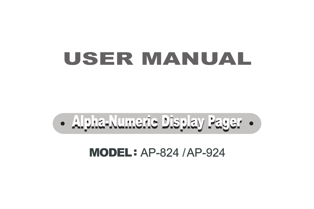## USER MANUAL

# **• Alpha-Numeric Display Pager •**

#### MODEL : AP-824 /AP-924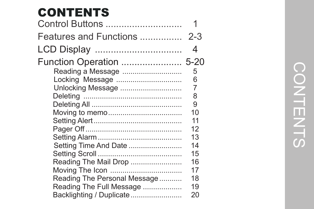### CONTENTS

| Control Buttons                 |         |
|---------------------------------|---------|
| Features and Functions          | $2 - 3$ |
| LCD Display                     | 4       |
| <b>Function Operation  5-20</b> |         |
| Reading a Message               | 5       |
| Locking Message                 | 6       |
| Unlocking Message               | 7       |
|                                 | 8       |
|                                 | 9       |
|                                 | 10      |
|                                 | 11      |
|                                 | 12      |
|                                 | 13      |
| Setting Time And Date           | 14      |
|                                 | 15      |
| Reading The Mail Drop           | 16      |
|                                 | 17      |
| Reading The Personal Message    | 18      |
| Reading The Full Message        | 19      |
| Backlighting / Duplicate        | 20      |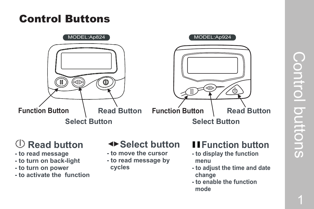#### Control Buttons



#### **Read button**

- **to read message**
- **to turn on back-light**
- **to turn on power**
- **to activate the function**

#### **Example 12 Select button**

- **to move the cursor**
- **to read message by cycles**

#### **Function button**

- **- to display the function menu**
- **- to adjust the time and date change**
- **- to enable the function mode**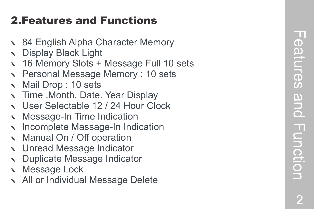#### 2.Features and Functions

- 
- 
- vector Memory<br>
16 Alpha Character Memory<br>
16 Memory Slots + Message Full 10 sets<br>
16 Memory Slots + Message Full 10 sets<br>
16 Memory Slots + Message Memory : 10 sets<br>
17 Mail Drop : 10 sets<br>
17 Time Month. Date. Year Displ
- 
- 
- 
- 
- 
- 
- 
- 
- 
- 
-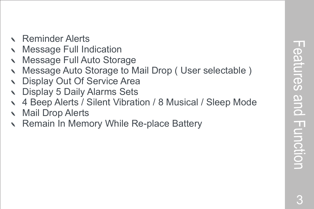- Reminder Alerts
- **Message Full Indication**
- Message Full Auto Storage
- Message Auto Storage to Mail Drop (User selectable)
- Display Out Of Service Area
- Display 5 Daily Alarms Sets
- d 4 Beep Alerts / Silent Vibration / 8 Musical / Sleep Mode
- **Mail Drop Alerts**
- Remain In Memory While Re-place Battery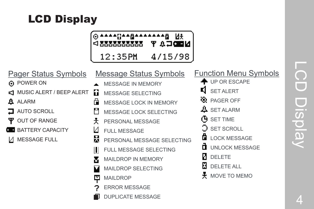#### LCD Display

| O★★▲▲Ω▲▲₫▲▲▲▲▲▲▲⊞ N¥<br>WEDER Y AFTERNATION |         |
|---------------------------------------------|---------|
| $12:35$ PM                                  | 4/15/98 |

| <b>Pager Status Symbols</b> | Message Status Symbols          | <b>Function Menu Symbols</b> |
|-----------------------------|---------------------------------|------------------------------|
| O POWER ON                  | <b>MESSAGE IN MEMORY</b>        | + UP OR ESCAPE               |
| √ MUSIC ALERT / BEEP ALERT  | íì<br><b>MESSAGE SELECTING</b>  | <b>SET ALERT</b>             |
| <b>ALARM</b><br>д           | MESSAGE LOCK IN MEMORY          | <b>R</b> PAGER OFF           |
| <b>AUTO SCROLL</b>          | MESSAGE LOCK SELECTING          | $\frac{11}{2}$ SET ALARM     |
| OUT OF RANGE                | PERSONAL MESSAGE<br>仧           | (H SET TIME                  |
| <b>BATTERY CAPACITY</b>     | <b>FULL MESSAGE</b>             | <b>SET SCROLL</b>            |
| <b>MESSAGE FULL</b>         | 웄<br>PERSONAL MESSAGE SELECTING | <b>LOCK MESSAGE</b>          |
|                             | FULL MESSAGE SELECTING          | <b>UNLOCK MESSAGE</b>        |
|                             | MAILDROP IN MEMORY              | <b>DELETE</b>                |
|                             | MAILDROP SELECTING              | H<br><b>DELETE ALL</b>       |
|                             | <b>MAILDROP</b><br>M            | $\pm$ MOVE TO MEMO           |
|                             | <b>ERROR MESSAGE</b>            |                              |
|                             | <b>DUPLICATE MESSAGE</b>        |                              |
|                             |                                 |                              |

4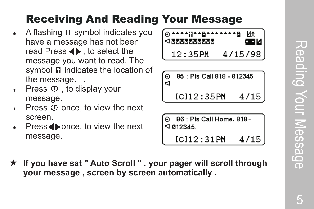#### Receiving And Reading Your Message

- A flashing  $\boldsymbol{\Omega}$  symbol indicates you have a message has not been read Press  $\blacktriangleleft$ . to select the message you want to read. The symbol  $\Omega$  indicates the location of the message. .
- Press  $\mathbb U$ , to display your message.
- Press  $\oplus$  once, to view the next screen.
- $Press \blacktriangle$  once, to view the next message.



|   | ⊙ 85 : Pis Call 818 - 012345 |
|---|------------------------------|
| К |                              |

 $IC112:35PH$ 47

|--|

| $\odot$ 86 : Pis Call Home, 818 - |  |
|-----------------------------------|--|
| $\triangleleft$ 012345.           |  |

 $IC112:31$  PM 4/15

**★ If you have sat " Auto Scroll ", your pager will scroll through your message , screen by screen automatically .**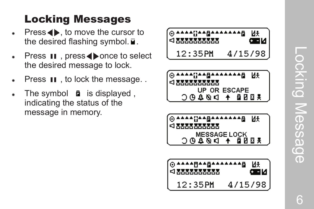#### Locking Messages

- $Press \Leftrightarrow$ , to move the cursor to the desired flashing symbol.  $\vec{u}$ .
- Press **II**, press  $\blacklozenge$  once to select the desired message to lock.
- Fress  $\blacksquare$ , to lock the message...
- The symbol  $\bullet$  is displayed, indicating the status of the message in memory .

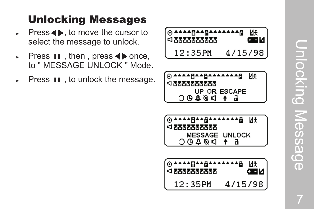#### Unlocking Messages

- Fress  $\blacklozenge$ , to move the cursor to select the message to unlock.
- Fress  $\blacksquare$ , then, press  $\blacklozenge$  once, to " MESSAGE UNLOCK " Mode.
- **Press 11**, to unlock the message.





| {⊙▲▲▲▲R▲▲&▲▲▲▲▲▲&         |  |
|---------------------------|--|
| <b>≤! МММММММ</b>         |  |
| <b>MESSAGE UNLOCK</b>     |  |
| $+$ $\rightarrow$ $0.000$ |  |

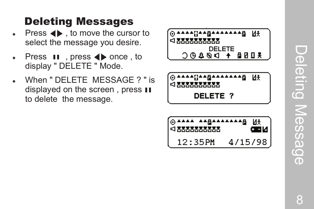#### Deleting Messages

- **Press**  $\blacktriangleleft$ , to move the cursor to select the message you desire.
- **Press 11**, press  $\blacklozenge$  once, to display " DELETE " Mode.
- When " DELETE MESSAGE ? " is displayed on the screen, press  $\blacksquare$ to delete the message.



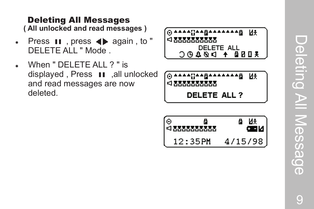#### **( All unlocked and read messages )** Deleting All Messages

- Fress  $\blacksquare$ , press  $\blacklozenge$  again, to " DELETE ALL " Mode .
- When " DELETE ALL ? " is displayed, Press 11, all unlocked and read messages are now deleted.

| [⊙▲▲▲▲{}▲▲△△▲▲▲▲▲△□<br>Иł |
|---------------------------|
| $\sim$ мимимим            |
| <b>DELETE ALL</b>         |
| X008 + DØ40C              |

@^^^^^@@^@^^^^^@ Иŧ ≼ ммммммм

**DELETE ALL ?** 

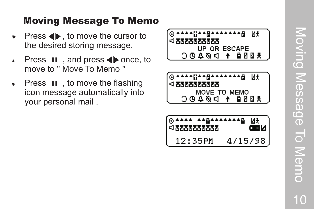#### Moving Message To Memo

- Fress  $\blacklozenge$ , to move the cursor to the desired storing message.
- **Press II**, and press  $\blacklozenge$  once, to move to " Move To Memo "
- **Press**  $\blacksquare$ , to move the flashing icon message automatically into your personal mail .

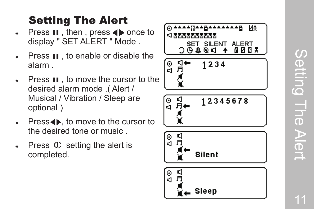#### Setting The Alert

- **Press**  $\textbf{H}$ , then, press  $\blacklozenge$  once to display " SET ALER T " Mode .
- **Figure**  Press  $\textbf{H}$ , to enable or disable the alarm .
- Fress  $\blacksquare$ , to move the cursor to the desired alarm mode .( Alert / Musical / Vibration / Sleep are optional )
- $Press \leftrightarrow$ , to move to the cursor to the desired tone or music .
- Fress  $\circled{1}$  setting the alert is completed.

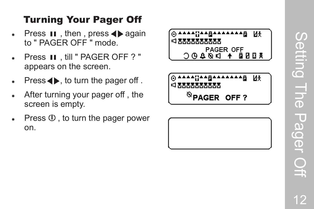# Setting Setting The Pager Off and LIGO Pager C

#### Turning Your P ager Of f

- Fress  $\textbf{H}$ , then, press  $\blacklozenge$  again to " PAGER OFF " mode.
- \* Press II, till " PAGER OFF ? " appears on the screen.
- $Press \leftrightarrow$ , to turn the pager off.
- After turning your pager off, the screen is empty .
- Press  $\mathbb U$ , to turn the pager power on.



®PAGER OFF?

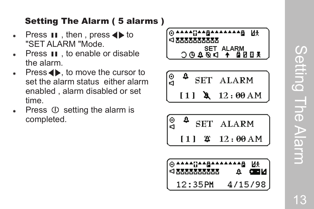#### Setting The Alarm ( 5 alarms )

- **Press 11**, then, press  $\blacklozenge$  to "SET ALARM "Mode.
- Press **II**, to enable or disable the alarm.
- $Press \rightarrow \bullet$ , to move the cursor to set the alarm status either alarm enabled , alarm disabled or set time.
- Press  $\circled{0}$  setting the alarm is completed.

**UAABAAAAAA** 48 Иŧ **⊴™™™™™™ SET ALARM**  $\triangleright \mathscr{A} \oplus \mathbb{C}$ 鱼团四美

$$
\begin{array}{c}\n\circ \\
\hline\n\circ \\
\hline\n\circ \\
\hline\n\circ \\
\hline\n\circ \\
\hline\n\circ \\
\hline\n\circ \\
\hline\n\circ \\
\hline\n\circ \\
\hline\n\circ \\
\hline\n\circ \\
\hline\n\circ \\
\hline\n\circ \\
\hline\n\circ \\
\hline\n\circ \\
\hline\n\circ \\
\hline\n\circ \\
\hline\n\circ \\
\hline\n\circ \\
\hline\n\circ \\
\hline\n\circ \\
\hline\n\circ \\
\hline\n\circ \\
\hline\n\circ \\
\hline\n\circ \\
\hline\n\circ \\
\hline\n\circ \\
\hline\n\circ \\
\hline\n\circ \\
\hline\n\circ \\
\hline\n\circ \\
\hline\n\circ \\
\hline\n\circ \\
\hline\n\circ \\
\hline\n\circ \\
\hline\n\circ \\
\hline\n\circ \\
\hline\n\circ \\
\hline\n\circ \\
\hline\n\circ \\
\hline\n\circ \\
\hline\n\circ \\
\hline\n\circ \\
\hline\n\circ \\
\hline\n\circ \\
\hline\n\circ \\
\hline\n\circ \\
\hline\n\circ \\
\hline\n\circ \\
\hline\n\circ \\
\hline\n\circ \\
\hline\n\circ \\
\hline\n\circ \\
\hline\n\circ \\
\hline\n\circ \\
\hline\n\circ \\
\hline\n\circ \\
\hline\n\circ \\
\hline\n\circ \\
\hline\n\circ \\
\hline\n\circ \\
\hline\n\circ \\
\hline\n\circ \\
\hline\n\circ \\
\hline\n\circ \\
\hline\n\circ \\
\hline\n\circ \\
\hline\n\circ \\
\hline\n\circ \\
\hline\n\circ \\
\hline\n\circ \\
\hline\n\circ \\
\hline\n\circ \\
\hline\n\circ \\
\hline\n\circ \\
\hline\n\circ \\
\hline\n\circ \\
\hline\n\circ \\
\hline\n\circ \\
\hline\n\circ \\
\hline\n\circ \\
\hline\n\circ \\
\hline\n\circ \\
\hline\n\circ \\
\hline\n\circ \\
\hline\n\circ \\
\hline\n\circ \\
\hline\n\circ \\
\hline\n\circ \\
\hline\n\circ \\
\hline\n\circ \\
\hline\n\circ \\
\hline\n\circ \\
\hline\n\circ \\
\hline\n\circ \\
\hline\n\circ \\
\hline\n\circ \\
\hline\n\circ \\
\hline\n\circ \\
\hline\n\circ \\
\hline\n\circ \\
\hline\n\circ \\
\hline\n\circ \\
\hline\n\circ \\
\hline\n\circ \\
\hline\n\circ \\
\hline\n\circ \\
\hline\n\circ \\
$$

$$
\begin{array}{ccc}\n\circ & 4 & \text{SET} & \text{ALARM} \\
\hline\n111 & 42 & 12:00 \text{ AM}\n\end{array}
$$

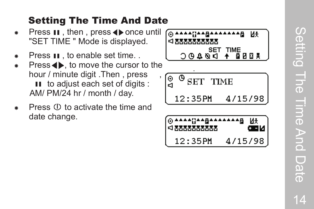#### Setting The Time And Date

- **\*** Press  $\textbf{H}$ , then, press  $\blacklozenge$  once until "SET TIME " Mode is displayed.
- 
- **Press**  $\textbf{H}$ , to enable set time. .<br>Press  $\blacklozenge$ , to move the cursor to the hour / minute digit . Then, press II to adjust each set of digits : AM/ PM/24 hr / month / day .
- Press  $\circled{1}$  to activate the time and date change.



$$
\begin{bmatrix}\n\circ & \circ & \circ & \circ \\
\circ & \circ & \circ & \circ \\
\circ & \circ & \circ & \circ \\
12:35PM & 4/15/98\n\end{bmatrix}
$$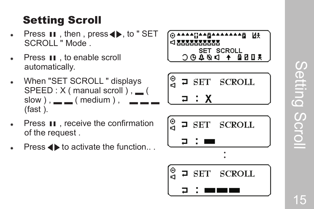#### Setting Scroll

- Fress  $\blacksquare$ , then, press  $\spadesuit$ , to " SET SCROLL " Mode .
- \* Press II, to enable scroll automatically .
- \* When "SET SCROLL" displays SPEED : X ( manual scroll ) ,  $\_\_$  ( slow  $)$  ,  $\_\_$  ( medium ) , ▂ ▂ ▂ (fast ).



**Press**  $\blacktriangleleft\blacktriangleright$  **to activate the function...** 



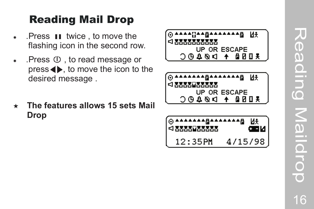- $\bullet$  . Press **II** twice, to move the flashing icon in the second row .
- $\bullet$  . Press  $\circled{0}$ , to read message or  $pres \leftrightarrow$ , to move the icon to the desired message . **Reading Mail Drop**<br>Press **II** twice, to move the<br>flashing icon in the second reflection<br>Press (b), to read message<br>press (b), to move the icon the desired message.<br>The features allows 15 sets<br>Drop
- \* The features allows 15 sets Mail



Reading Maildrop e Reading Maildro 16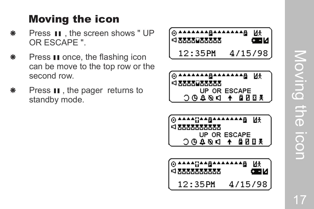# Moving the icon<br>N **Noving the icon**

### Moving the icon

- Press  $\textbf{II}$  , the screen shows " UP OR ESCAPE ".
- **\*** Press  $\textbf{H}$  once, the flashing icon can be move to the top row or the second row .
- **Press**  $\textbf{H}$ , the pager returns to standby mode.

| [⊚▲▲▲▲▲▲▲₽▲▲▲▲▲▲₽ | Иŧ      |
|-------------------|---------|
|                   | طاقته   |
| 12:35PM           | 4/15/98 |



| [⊙▲▲▲▲¦¦▲▲₫▲▲▲▲▲▲₫ U£ |  |
|-----------------------|--|
| <u>а дууруулуу а</u>  |  |
| UP OR ESCAPE          |  |
| 3 8 8 4 7 6 4 4 5 6 7 |  |
|                       |  |

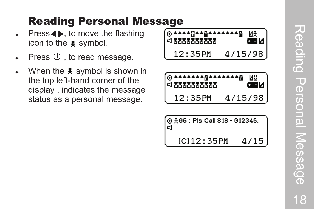- Fress  $\blacklozenge$ , to move the flashing icon to the  $\sqrt{\ast}$  symbol.
- Press  $\mathbb O$ , to read message.
- When the  $\sqrt{\overline{x}}$  symbol is shown in the top left-hand corner of the display , indicates the message **Reading Personal Message**<br>Press (b), to move the flashing<br>Press (b), to read message.<br>When the  $\frac{12}{12}$ <br>When the  $\frac{12}{12}$ <br>when the  $\frac{12}{12}$ <br>display, indicates the message<br>status as a personal message.<br>12

| [⊙▲▲▲▲{}▲▲△▲▲▲▲▲△ |         | ИŦ<br>ŒM |
|-------------------|---------|----------|
| 12:35PM           | 4/15/98 |          |



| $\bigcirc$ $\frac{1}{5}$ 05 : Pls Call 818 - 012345.<br> ସ |      |
|------------------------------------------------------------|------|
| IC112:35PH                                                 | 4/15 |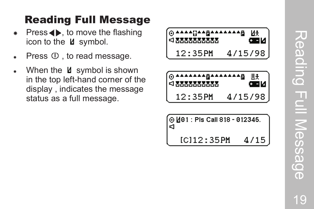- Fress  $\blacklozenge$ , to move the flashing icon to the  $\angle$  symbol.
- Fress  $\Phi$ , to read message.
- $*$  When the  $\textsf{M}$  symbol is shown in the top left-hand corner of the display , indicates the message **Reading Full Message**<br>Press (b), to move the flashing<br>icon to the *L* symbol.<br>Press ①, to read message.<br>When the *L* symbol is shown<br>in the top left-hand corner of the<br>display, indicates the message<br>status as a full messa

| [⊙▲▲▲▲{}▲▲△▲▲▲▲▲▲△         | Иł      |
|----------------------------|---------|
| <u> <!-- МММММММ</u--></u> | ( N 20  |
| $12:35P$ M                 | 4/15/98 |

|            | œи      |
|------------|---------|
| $12:35$ PM | 4/15/98 |

| (⊙ <u> 4</u> 01 : Pis Call 818 - 012345.<br>I⊲ |      |
|------------------------------------------------|------|
| $IC112 - 35P$ M                                | 4/15 |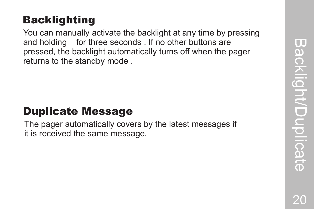#### Backlighting

You can manually activate the backlight at any time by pressing and holding for three seconds . If no other buttons are pressed, the backlight automatically turns off when the pager returns to the standby mode .

#### Duplicate Message

The pager automatically covers by the latest messages if it is received the same message.